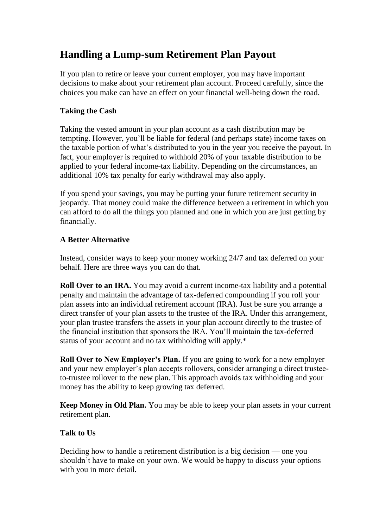## **Handling a Lump-sum Retirement Plan Payout**

If you plan to retire or leave your current employer, you may have important decisions to make about your retirement plan account. Proceed carefully, since the choices you make can have an effect on your financial well-being down the road.

## **Taking the Cash**

Taking the vested amount in your plan account as a cash distribution may be tempting. However, you'll be liable for federal (and perhaps state) income taxes on the taxable portion of what's distributed to you in the year you receive the payout. In fact, your employer is required to withhold 20% of your taxable distribution to be applied to your federal income-tax liability. Depending on the circumstances, an additional 10% tax penalty for early withdrawal may also apply.

If you spend your savings, you may be putting your future retirement security in jeopardy. That money could make the difference between a retirement in which you can afford to do all the things you planned and one in which you are just getting by financially.

## **A Better Alternative**

Instead, consider ways to keep your money working 24/7 and tax deferred on your behalf. Here are three ways you can do that.

**Roll Over to an IRA.** You may avoid a current income-tax liability and a potential penalty and maintain the advantage of tax-deferred compounding if you roll your plan assets into an individual retirement account (IRA). Just be sure you arrange a direct transfer of your plan assets to the trustee of the IRA. Under this arrangement, your plan trustee transfers the assets in your plan account directly to the trustee of the financial institution that sponsors the IRA. You'll maintain the tax-deferred status of your account and no tax withholding will apply.\*

**Roll Over to New Employer's Plan.** If you are going to work for a new employer and your new employer's plan accepts rollovers, consider arranging a direct trusteeto-trustee rollover to the new plan. This approach avoids tax withholding and your money has the ability to keep growing tax deferred.

**Keep Money in Old Plan.** You may be able to keep your plan assets in your current retirement plan.

## **Talk to Us**

Deciding how to handle a retirement distribution is a big decision — one you shouldn't have to make on your own. We would be happy to discuss your options with you in more detail.